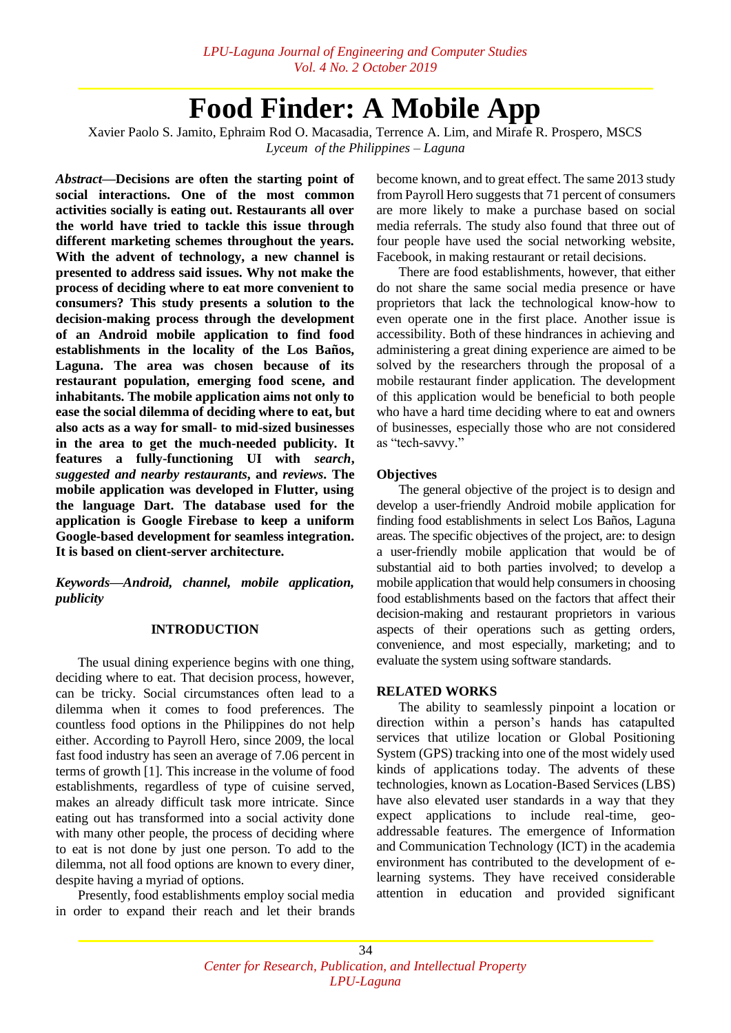# **Food Finder: A Mobile App**

Xavier Paolo S. Jamito, Ephraim Rod O. Macasadia, Terrence A. Lim, and Mirafe R. Prospero, MSCS *Lyceum of the Philippines – Laguna*

*Abstract***—Decisions are often the starting point of social interactions. One of the most common activities socially is eating out. Restaurants all over the world have tried to tackle this issue through different marketing schemes throughout the years. With the advent of technology, a new channel is presented to address said issues. Why not make the process of deciding where to eat more convenient to consumers? This study presents a solution to the decision-making process through the development of an Android mobile application to find food establishments in the locality of the Los Baños, Laguna. The area was chosen because of its restaurant population, emerging food scene, and inhabitants. The mobile application aims not only to ease the social dilemma of deciding where to eat, but also acts as a way for small- to mid-sized businesses in the area to get the much-needed publicity. It features a fully-functioning UI with** *search***,**  *suggested and nearby restaurants***, and** *reviews***. The mobile application was developed in Flutter, using the language Dart. The database used for the application is Google Firebase to keep a uniform Google-based development for seamless integration. It is based on client-server architecture.**

*Keywords—Android, channel, mobile application, publicity*

# **INTRODUCTION**

The usual dining experience begins with one thing, deciding where to eat. That decision process, however, can be tricky. Social circumstances often lead to a dilemma when it comes to food preferences. The countless food options in the Philippines do not help either. According to Payroll Hero, since 2009, the local fast food industry has seen an average of 7.06 percent in terms of growth [1]. This increase in the volume of food establishments, regardless of type of cuisine served, makes an already difficult task more intricate. Since eating out has transformed into a social activity done with many other people, the process of deciding where to eat is not done by just one person. To add to the dilemma, not all food options are known to every diner, despite having a myriad of options.

Presently, food establishments employ social media in order to expand their reach and let their brands

become known, and to great effect. The same 2013 study from Payroll Hero suggests that 71 percent of consumers are more likely to make a purchase based on social media referrals. The study also found that three out of four people have used the social networking website, Facebook, in making restaurant or retail decisions.

There are food establishments, however, that either do not share the same social media presence or have proprietors that lack the technological know-how to even operate one in the first place. Another issue is accessibility. Both of these hindrances in achieving and administering a great dining experience are aimed to be solved by the researchers through the proposal of a mobile restaurant finder application. The development of this application would be beneficial to both people who have a hard time deciding where to eat and owners of businesses, especially those who are not considered as "tech-savvy."

#### **Objectives**

The general objective of the project is to design and develop a user-friendly Android mobile application for finding food establishments in select Los Baños, Laguna areas. The specific objectives of the project, are: to design a user-friendly mobile application that would be of substantial aid to both parties involved; to develop a mobile application that would help consumers in choosing food establishments based on the factors that affect their decision-making and restaurant proprietors in various aspects of their operations such as getting orders, convenience, and most especially, marketing; and to evaluate the system using software standards.

#### **RELATED WORKS**

The ability to seamlessly pinpoint a location or direction within a person's hands has catapulted services that utilize location or Global Positioning System (GPS) tracking into one of the most widely used kinds of applications today. The advents of these technologies, known as Location-Based Services (LBS) have also elevated user standards in a way that they expect applications to include real-time, geoaddressable features. The emergence of Information and Communication Technology (ICT) in the academia environment has contributed to the development of elearning systems. They have received considerable attention in education and provided significant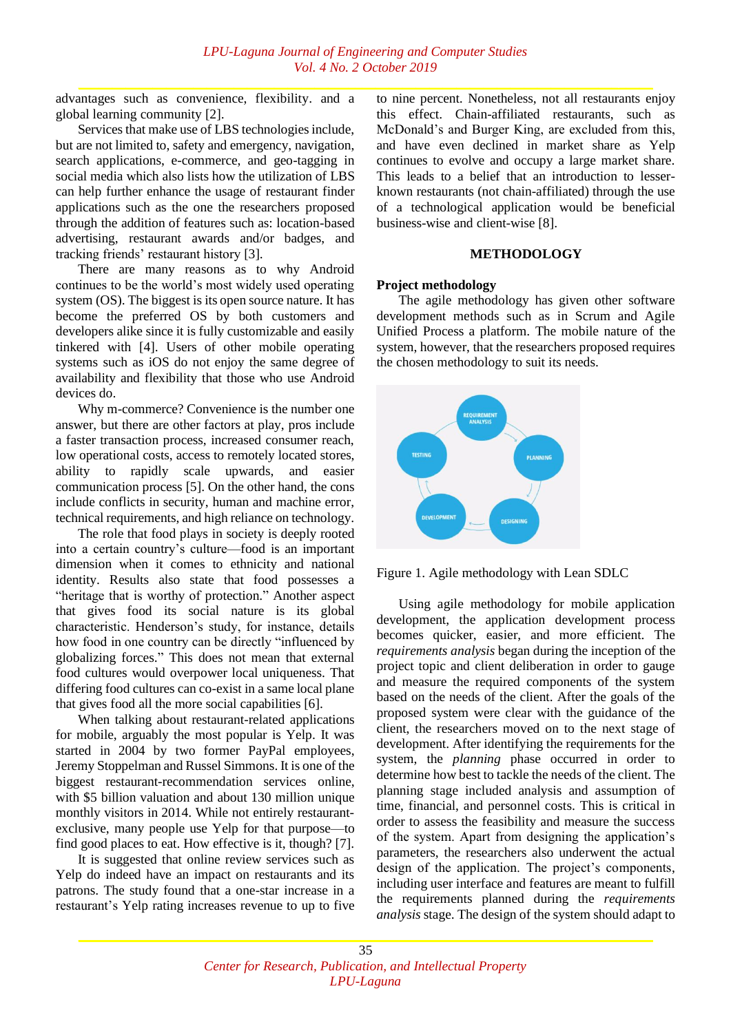advantages such as convenience, flexibility. and a global learning community [2].

Services that make use of LBS technologies include, but are not limited to, safety and emergency, navigation, search applications, e-commerce, and geo-tagging in social media which also lists how the utilization of LBS can help further enhance the usage of restaurant finder applications such as the one the researchers proposed through the addition of features such as: location-based advertising, restaurant awards and/or badges, and tracking friends' restaurant history [3].

There are many reasons as to why Android continues to be the world's most widely used operating system (OS). The biggest is its open source nature. It has become the preferred OS by both customers and developers alike since it is fully customizable and easily tinkered with [4]. Users of other mobile operating systems such as iOS do not enjoy the same degree of availability and flexibility that those who use Android devices do.

Why m-commerce? Convenience is the number one answer, but there are other factors at play, pros include a faster transaction process, increased consumer reach, low operational costs, access to remotely located stores, ability to rapidly scale upwards, and easier communication process [5]. On the other hand, the cons include conflicts in security, human and machine error, technical requirements, and high reliance on technology.

The role that food plays in society is deeply rooted into a certain country's culture—food is an important dimension when it comes to ethnicity and national identity. Results also state that food possesses a "heritage that is worthy of protection." Another aspect that gives food its social nature is its global characteristic. Henderson's study, for instance, details how food in one country can be directly "influenced by globalizing forces." This does not mean that external food cultures would overpower local uniqueness. That differing food cultures can co-exist in a same local plane that gives food all the more social capabilities [6].

When talking about restaurant-related applications for mobile, arguably the most popular is Yelp. It was started in 2004 by two former PayPal employees, Jeremy Stoppelman and Russel Simmons. It is one of the biggest restaurant-recommendation services online, with \$5 billion valuation and about 130 million unique monthly visitors in 2014. While not entirely restaurantexclusive, many people use Yelp for that purpose—to find good places to eat. How effective is it, though? [7].

It is suggested that online review services such as Yelp do indeed have an impact on restaurants and its patrons. The study found that a one-star increase in a restaurant's Yelp rating increases revenue to up to five

to nine percent. Nonetheless, not all restaurants enjoy this effect. Chain-affiliated restaurants, such as McDonald's and Burger King, are excluded from this, and have even declined in market share as Yelp continues to evolve and occupy a large market share. This leads to a belief that an introduction to lesserknown restaurants (not chain-affiliated) through the use of a technological application would be beneficial business-wise and client-wise [8].

# **METHODOLOGY**

# **Project methodology**

The agile methodology has given other software development methods such as in Scrum and Agile Unified Process a platform. The mobile nature of the system, however, that the researchers proposed requires the chosen methodology to suit its needs.



Figure 1. Agile methodology with Lean SDLC

Using agile methodology for mobile application development, the application development process becomes quicker, easier, and more efficient. The *requirements analysis* began during the inception of the project topic and client deliberation in order to gauge and measure the required components of the system based on the needs of the client. After the goals of the proposed system were clear with the guidance of the client, the researchers moved on to the next stage of development. After identifying the requirements for the system, the *planning* phase occurred in order to determine how best to tackle the needs of the client. The planning stage included analysis and assumption of time, financial, and personnel costs. This is critical in order to assess the feasibility and measure the success of the system. Apart from designing the application's parameters, the researchers also underwent the actual design of the application. The project's components, including user interface and features are meant to fulfill the requirements planned during the *requirements analysis* stage. The design of the system should adapt to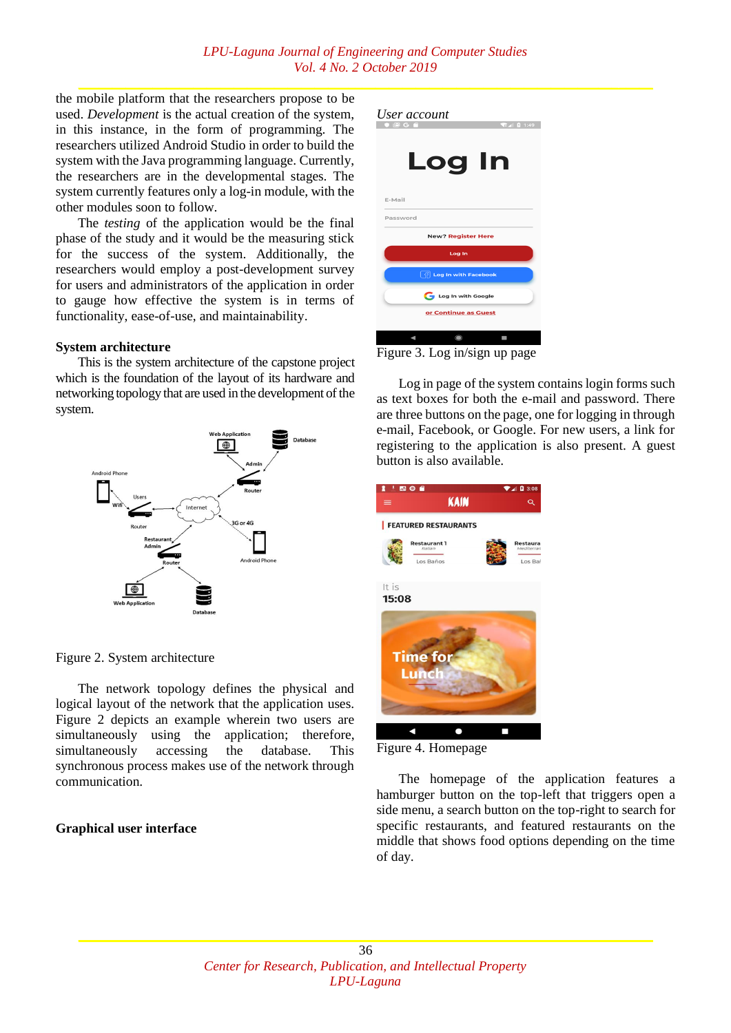the mobile platform that the researchers propose to be used. *Development* is the actual creation of the system, in this instance, in the form of programming. The researchers utilized Android Studio in order to build the system with the Java programming language. Currently, the researchers are in the developmental stages. The system currently features only a log-in module, with the other modules soon to follow.

The *testing* of the application would be the final phase of the study and it would be the measuring stick for the success of the system. Additionally, the researchers would employ a post-development survey for users and administrators of the application in order to gauge how effective the system is in terms of functionality, ease-of-use, and maintainability.

#### **System architecture**

This is the system architecture of the capstone project which is the foundation of the layout of its hardware and networking topology that are used in the development of the system.



Figure 2. System architecture

The network topology defines the physical and logical layout of the network that the application uses. Figure 2 depicts an example wherein two users are simultaneously using the application; therefore, simultaneously accessing the database. This synchronous process makes use of the network through communication.

#### **Graphical user interface**

| User account                                     |               |               |
|--------------------------------------------------|---------------|---------------|
|                                                  |               | <b>Q</b> 1:49 |
|                                                  |               |               |
|                                                  |               |               |
|                                                  |               |               |
|                                                  | <b>Log In</b> |               |
|                                                  |               |               |
|                                                  |               |               |
| E-Mail                                           |               |               |
|                                                  |               |               |
| Password                                         |               |               |
| <b>New? Register Here</b>                        |               |               |
| Log In                                           |               |               |
|                                                  |               |               |
| $\lceil \frac{B}{2} \rceil$ Log In with Facebook |               |               |
|                                                  |               |               |
| Log In with Google                               |               |               |
|                                                  |               |               |
| or Continue as Guest                             |               |               |
|                                                  |               |               |
|                                                  |               |               |
|                                                  |               |               |

Figure 3. Log in/sign up page

Log in page of the system contains login forms such as text boxes for both the e-mail and password. There are three buttons on the page, one for logging in through e-mail, Facebook, or Google. For new users, a link for registering to the application is also present. A guest button is also available.



Figure 4. Homepage

The homepage of the application features a hamburger button on the top-left that triggers open a side menu, a search button on the top-right to search for specific restaurants, and featured restaurants on the middle that shows food options depending on the time of day.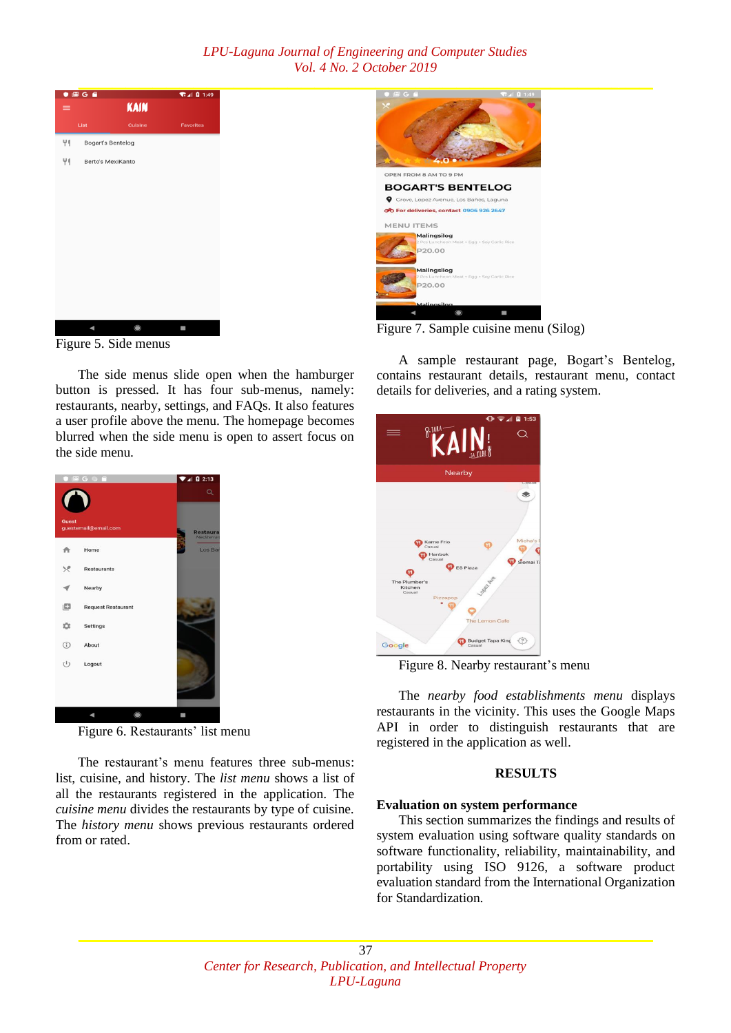# *LPU-Laguna Journal of Engineering and Computer Studies Vol. 4 No. 2 October 2019*



Figure 5. Side menus

The side menus slide open when the hamburger button is pressed. It has four sub-menus, namely: restaurants, nearby, settings, and FAQs. It also features a user profile above the menu. The homepage becomes blurred when the side menu is open to assert focus on the side menu.



Figure 6. Restaurants' list menu

The restaurant's menu features three sub-menus: list, cuisine, and history. The *list menu* shows a list of all the restaurants registered in the application. The *cuisine menu* divides the restaurants by type of cuisine. The *history menu* shows previous restaurants ordered from or rated.



Figure 7. Sample cuisine menu (Silog)

A sample restaurant page, Bogart's Bentelog, contains restaurant details, restaurant menu, contact details for deliveries, and a rating system.



Figure 8. Nearby restaurant's menu

The *nearby food establishments menu* displays restaurants in the vicinity. This uses the Google Maps API in order to distinguish restaurants that are registered in the application as well.

# **RESULTS**

# **Evaluation on system performance**

This section summarizes the findings and results of system evaluation using software quality standards on software functionality, reliability, maintainability, and portability using ISO 9126, a software product evaluation standard from the International Organization for Standardization.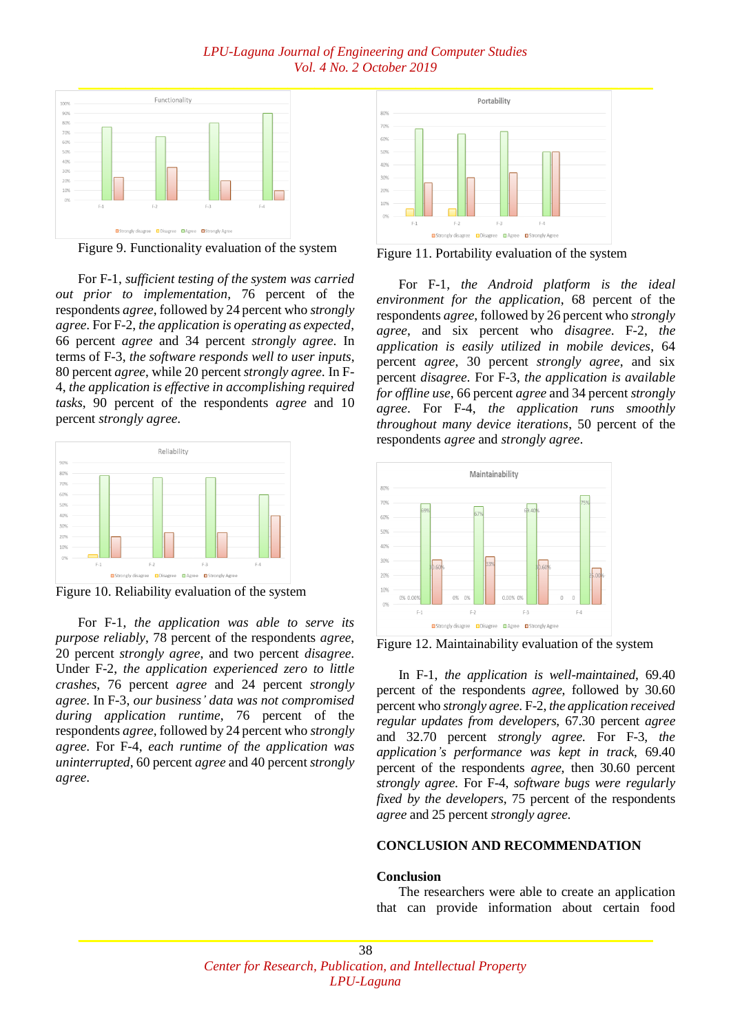# *LPU-Laguna Journal of Engineering and Computer Studies Vol. 4 No. 2 October 2019*



Figure 9. Functionality evaluation of the system

For F-1, *sufficient testing of the system was carried out prior to implementation*, 76 percent of the respondents *agree*, followed by 24 percent who *strongly agree*. For F-2, *the application is operating as expected*, 66 percent *agree* and 34 percent *strongly agree*. In terms of F-3, *the software responds well to user inputs*, 80 percent *agree*, while 20 percent *strongly agree*. In F-4, *the application is effective in accomplishing required tasks*, 90 percent of the respondents *agree* and 10 percent *strongly agree*.



Figure 10. Reliability evaluation of the system

For F-1, *the application was able to serve its purpose reliably*, 78 percent of the respondents *agree*, 20 percent *strongly agree*, and two percent *disagree*. Under F-2, *the application experienced zero to little crashes*, 76 percent *agree* and 24 percent *strongly agree*. In F-3, *our business' data was not compromised during application runtime*, 76 percent of the respondents *agree*, followed by 24 percent who *strongly agree*. For F-4, *each runtime of the application was uninterrupted*, 60 percent *agree* and 40 percent *strongly agree*.



Figure 11. Portability evaluation of the system

For F-1, *the Android platform is the ideal environment for the application*, 68 percent of the respondents *agree*, followed by 26 percent who *strongly agree*, and six percent who *disagree*. F-2, *the application is easily utilized in mobile devices*, 64 percent *agree*, 30 percent *strongly agree*, and six percent *disagree*. For F-3, *the application is available for offline use*, 66 percent *agree* and 34 percent *strongly agree*. For F-4, *the application runs smoothly throughout many device iterations*, 50 percent of the respondents *agree* and *strongly agree*.



Figure 12. Maintainability evaluation of the system

In F-1, *the application is well-maintained*, 69.40 percent of the respondents *agree*, followed by 30.60 percent who *strongly agree*. F-2, *the application received regular updates from developers*, 67.30 percent *agree* and 32.70 percent *strongly agree*. For F-3, *the application's performance was kept in track*, 69.40 percent of the respondents *agree*, then 30.60 percent *strongly agree*. For F-4, *software bugs were regularly fixed by the developers*, 75 percent of the respondents *agree* and 25 percent *strongly agree*.

#### **CONCLUSION AND RECOMMENDATION**

#### **Conclusion**

The researchers were able to create an application that can provide information about certain food